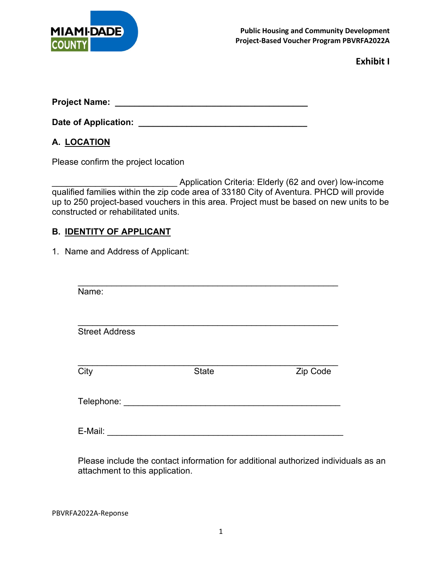

**Project Name: \_\_\_\_\_\_\_\_\_\_\_\_\_\_\_\_\_\_\_\_\_\_\_\_\_\_\_\_\_\_\_\_\_\_\_\_\_\_\_\_**

**Date of Application: \_\_\_\_\_\_\_\_\_\_\_\_\_\_\_\_\_\_\_\_\_\_\_\_\_\_\_\_\_\_\_\_\_\_\_**

## **A. LOCATION**

Please confirm the project location

Application Criteria: Elderly (62 and over) low-income qualified families within the zip code area of 33180 City of Aventura. PHCD will provide up to 250 project-based vouchers in this area. Project must be based on new units to be constructed or rehabilitated units.

## **B. IDENTITY OF APPLICANT**

1. Name and Address of Applicant:

| Name:                                 |              |          |
|---------------------------------------|--------------|----------|
| <b>Street Address</b>                 |              |          |
| City                                  | <b>State</b> | Zip Code |
| Telephone: __________________________ |              |          |
| E-Mail:                               |              |          |

Please include the contact information for additional authorized individuals as an attachment to this application.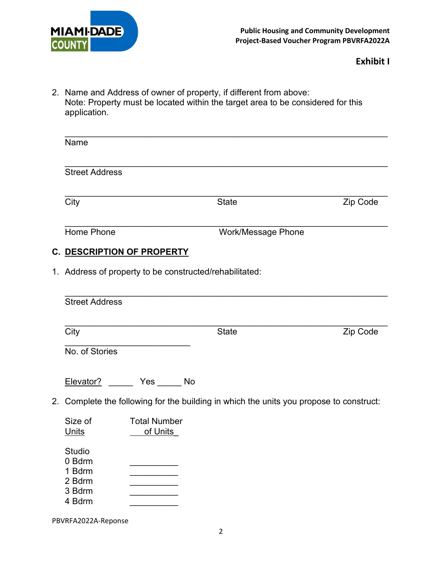

2. Name and Address of owner of property, if different from above: Note: Property must be located within the target area to be considered for this application.

| Name                                                    |                                 |                                                                                         |          |
|---------------------------------------------------------|---------------------------------|-----------------------------------------------------------------------------------------|----------|
| <b>Street Address</b>                                   |                                 |                                                                                         |          |
| City                                                    |                                 | <b>State</b>                                                                            | Zip Code |
| Home Phone                                              |                                 | <b>Work/Message Phone</b>                                                               |          |
| C. DESCRIPTION OF PROPERTY                              |                                 |                                                                                         |          |
| 1. Address of property to be constructed/rehabilitated: |                                 |                                                                                         |          |
| <b>Street Address</b>                                   |                                 |                                                                                         |          |
| City                                                    |                                 | <b>State</b>                                                                            | Zip Code |
| No. of Stories                                          |                                 |                                                                                         |          |
| Elevator?                                               | <u>No Yes</u> No                |                                                                                         |          |
|                                                         |                                 | 2. Complete the following for the building in which the units you propose to construct: |          |
| Size of<br>Units                                        | <b>Total Number</b><br>of Units |                                                                                         |          |
| <b>Studio</b><br>0 Bdrm<br>1 Bdrm<br>2 Bdrm<br>3 Bdrm   |                                 |                                                                                         |          |

4 Bdrm \_\_\_\_\_\_\_\_\_\_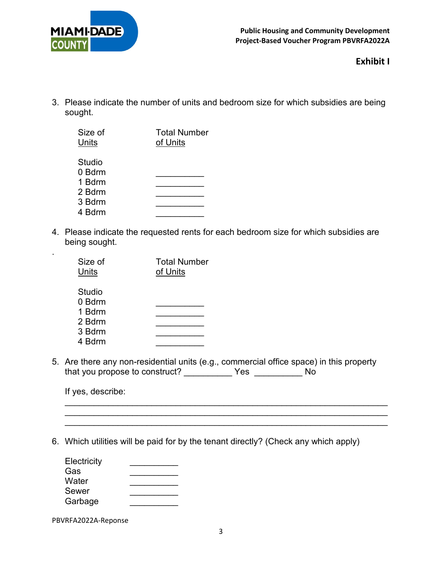

3. Please indicate the number of units and bedroom size for which subsidies are being sought.

| Size of<br>Units | <b>Total Number</b><br>of Units |
|------------------|---------------------------------|
| Studio           |                                 |
| 0 Bdrm           |                                 |
| 1 Bdrm           |                                 |
| 2 Bdrm           |                                 |
| 3 Bdrm           |                                 |
| 4 Bdrm           |                                 |

4. Please indicate the requested rents for each bedroom size for which subsidies are being sought.

| Size of<br>Units           | <b>Total Number</b><br>of Units |
|----------------------------|---------------------------------|
| Studio<br>0 Bdrm<br>1 Bdrm |                                 |
| 2 Bdrm                     |                                 |
| 3 Bdrm                     |                                 |
| 4 Bdrm                     |                                 |

5. Are there any non-residential units (e.g., commercial office space) in this property that you propose to construct? \_\_\_\_\_\_\_\_\_\_ Yes \_\_\_\_\_\_\_\_\_\_ No

\_\_\_\_\_\_\_\_\_\_\_\_\_\_\_\_\_\_\_\_\_\_\_\_\_\_\_\_\_\_\_\_\_\_\_\_\_\_\_\_\_\_\_\_\_\_\_\_\_\_\_\_\_\_\_\_\_\_\_\_\_\_\_\_\_\_\_ \_\_\_\_\_\_\_\_\_\_\_\_\_\_\_\_\_\_\_\_\_\_\_\_\_\_\_\_\_\_\_\_\_\_\_\_\_\_\_\_\_\_\_\_\_\_\_\_\_\_\_\_\_\_\_\_\_\_\_\_\_\_\_\_\_\_\_

If yes, describe:

.

6. Which utilities will be paid for by the tenant directly? (Check any which apply)

| Electricity |  |
|-------------|--|
| Gas         |  |
| Water       |  |
| Sewer       |  |
| Garbage     |  |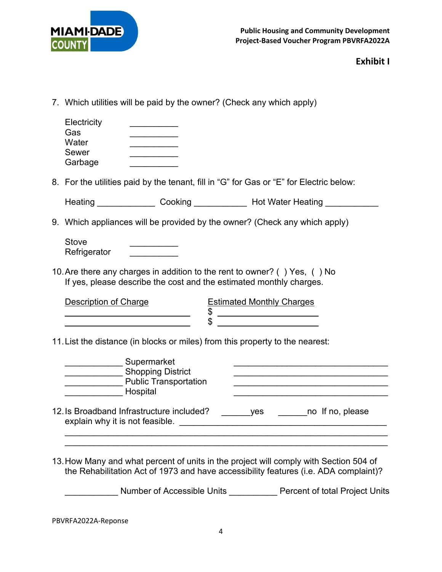

| 7. Which utilities will be paid by the owner? (Check any which apply)                                                                                                                                                                                   |  |  |  |  |  |
|---------------------------------------------------------------------------------------------------------------------------------------------------------------------------------------------------------------------------------------------------------|--|--|--|--|--|
| Electricity<br>Gas<br>Water<br><b>Sewer</b><br>Garbage                                                                                                                                                                                                  |  |  |  |  |  |
| 8. For the utilities paid by the tenant, fill in "G" for Gas or "E" for Electric below:                                                                                                                                                                 |  |  |  |  |  |
| Heating ________________ Cooking ______________ Hot Water Heating _____________                                                                                                                                                                         |  |  |  |  |  |
| 9. Which appliances will be provided by the owner? (Check any which apply)                                                                                                                                                                              |  |  |  |  |  |
| <b>Stove</b><br>Refrigerator                                                                                                                                                                                                                            |  |  |  |  |  |
| 10. Are there any charges in addition to the rent to owner? () Yes, () No<br>If yes, please describe the cost and the estimated monthly charges.                                                                                                        |  |  |  |  |  |
| <b>Description of Charge</b><br><b>Estimated Monthly Charges</b><br>\$<br>$\mathfrak{S}$                                                                                                                                                                |  |  |  |  |  |
| 11. List the distance (in blocks or miles) from this property to the nearest:                                                                                                                                                                           |  |  |  |  |  |
| Supermarket<br><b>Shopping District</b><br><b>Public Transportation</b><br><u>and Hospital</u>                                                                                                                                                          |  |  |  |  |  |
| 12. Is Broadband Infrastructure included?<br>yes __________ no If no, please<br>explain why it is not feasible.                                                                                                                                         |  |  |  |  |  |
| 13. How Many and what percent of units in the project will comply with Section 504 of<br>the Rehabilitation Act of 1973 and have accessibility features (i.e. ADA complaint)?<br>Number of Accessible Units ____________ Percent of total Project Units |  |  |  |  |  |
|                                                                                                                                                                                                                                                         |  |  |  |  |  |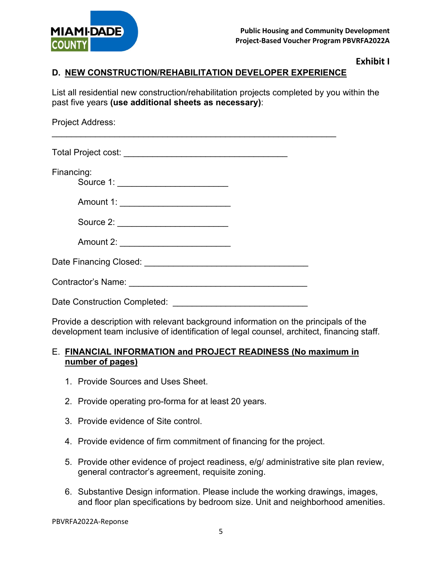

## **D. NEW CONSTRUCTION/REHABILITATION DEVELOPER EXPERIENCE**

List all residential new construction/rehabilitation projects completed by you within the past five years **(use additional sheets as necessary)**:

| Project Address:                                    |  |
|-----------------------------------------------------|--|
|                                                     |  |
| Financing:<br>Source 1: ___________________________ |  |
| Amount 1: ___________________________               |  |
|                                                     |  |
| Amount 2: ____________________________              |  |
|                                                     |  |
|                                                     |  |
| Date Construction Completed:                        |  |

Provide a description with relevant background information on the principals of the development team inclusive of identification of legal counsel, architect, financing staff.

#### E. **FINANCIAL INFORMATION and PROJECT READINESS (No maximum in number of pages)**

- 1. Provide Sources and Uses Sheet.
- 2. Provide operating pro-forma for at least 20 years.
- 3. Provide evidence of Site control.
- 4. Provide evidence of firm commitment of financing for the project.
- 5. Provide other evidence of project readiness, e/g/ administrative site plan review, general contractor's agreement, requisite zoning.
- 6. Substantive Design information. Please include the working drawings, images, and floor plan specifications by bedroom size. Unit and neighborhood amenities.